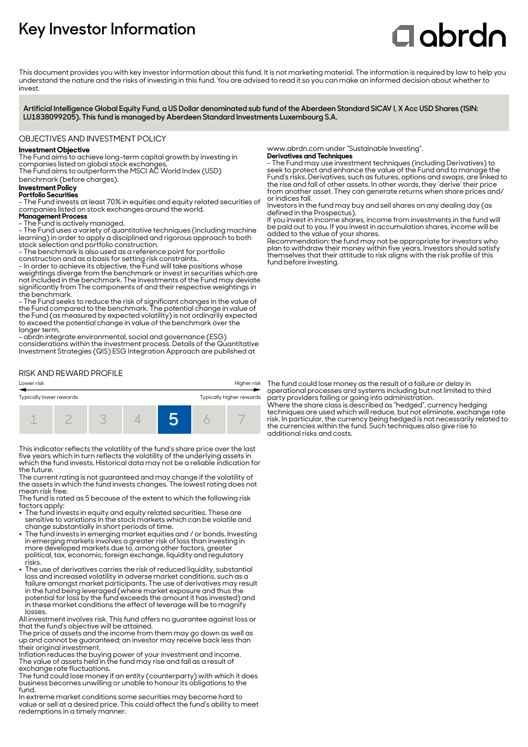# **Key Investor Information**

# **C**obrdo

This document provides you with key investor information about this fund. It is not marketing material. The information is required by law to help you understand the nature and the risks of investing in this fund. You are advised to read it so you can make an informed decision about whether to invest

**Artificial Intelligence Global Equity Fund, a US Dollar denominated sub fund of the Aberdeen Standard SICAV I, X Acc USD Shares (ISIN: LU1838099205). This fund is managed by Aberdeen Standard Investments Luxembourg S.A.**

# OBJECTIVES AND INVESTMENT POLICY

# **Investment Objective**

The Fund aims to achieve long-term capital growth by investing in companies listed on global stock exchanges. The Fund aims to outperform the MSCI AC World Index (USD)

benchmark (before charges).

# **Investment Policy**

#### **Portfolio Securities**

- The Fund invests at least 70% in equities and equity related securities of companies listed on stock exchanges around the world.

# **Management Process**

- The Fund is actively managed.

- The Fund uses a variety of quantitative techniques (including machine learning) in order to apply a disciplined and rigorous approach to both stock selection and portfolio construction.

- The benchmark is also used as a reference point for portfolio construction and as a basis for setting risk constraints.

- In order to achieve its objective, the Fund will take positions whose weightings diverge from the benchmark or invest in securities which are not included in the benchmark. The investments of the Fund may deviate significantly from The components of and their respective weightings in the benchmark.

- The Fund seeks to reduce the risk of significant changes in the value of the Fund compared to the benchmark. The potential change in value of the Fund (as measured by expected volatility) is not ordinarily expected to exceed the potential change in value of the benchmark over the longer term.

- abrdn integrate environmental, social and governance (ESG) considerations within the investment process. Details of the Quantitative Investment Strategies (QIS) ESG Integration Approach are published at

# RISK AND REWARD PROFILE



This indicator reflects the volatility of the fund's share price over the last five years which in turn reflects the volatility of the underlying assets in which the fund invests. Historical data may not be a reliable indication for the future.

The current rating is not guaranteed and may change if the volatility of the assets in which the fund invests changes. The lowest rating does not mean risk free.

The fund is rated as 5 because of the extent to which the following risk factors apply:

- The fund invests in equity and equity related securities. These are sensitive to variations in the stock markets which can be volatile and change substantially in short periods of time.
- 2 The fund invests in emerging market equities and / or bonds. Investing in emerging markets involves a greater risk of loss than investing in more developed markets due to, among other factors, greater political, tax, economic, foreign exchange, liquidity and regulatory risks.
- The use of derivatives carries the risk of reduced liquidity, substantial loss and increased volatility in adverse market conditions, such as a failure amongst market participants. The use of derivatives may result in the fund being leveraged (where market exposure and thus the potential for loss by the fund exceeds the amount it has invested) and in these market conditions the effect of leverage will be to magnify losses.

All investment involves risk. This fund offers no guarantee against loss or that the fund's objective will be attained.

The price of assets and the income from them may go down as well as up and cannot be guaranteed; an investor may receive back less than their original investment.

Inflation reduces the buying power of your investment and income. The value of assets held in the fund may rise and fall as a result of exchange rate fluctuations.

The fund could lose money if an entity (counterparty) with which it does business becomes unwilling or unable to honour its obligations to the fund.

In extreme market conditions some securities may become hard to value or sell at a desired price. This could affect the fund's ability to meet redemptions in a timely manner.

www.abrdn.com under "Sustainable Investing". **Derivatives and Techniques**

- The Fund may use investment techniques (including Derivatives) to seek to protect and enhance the value of the Fund and to manage the Fund's risks. Derivatives, such as futures, options and swaps, are linked to the rise and fall of other assets. In other words, they 'derive' their price from another asset. They can generate returns when share prices and/ or indices fall.

Investors in the fund may buy and sell shares on any dealing day (as defined in the Prospectus).

If you invest in income shares, income from investments in the fund will be paid out to you. If you invest in accumulation shares, income will be added to the value of your shares.

Recommendation: the fund may not be appropriate for investors who plan to withdraw their money within five years. Investors should satisfy themselves that their attitude to risk aligns with the risk profile of this fund before investing.

The fund could lose money as the result of a failure or delay in operational processes and systems including but not limited to third party providers failing or going into administration. Where the share class is described as "hedged", currency hedging techniques are used which will reduce, but not eliminate, exchange rate risk. In particular, the currency being hedged is not necessarily related to the currencies within the fund. Such techniques also give rise to and counterlies with the relation of risks and costs.